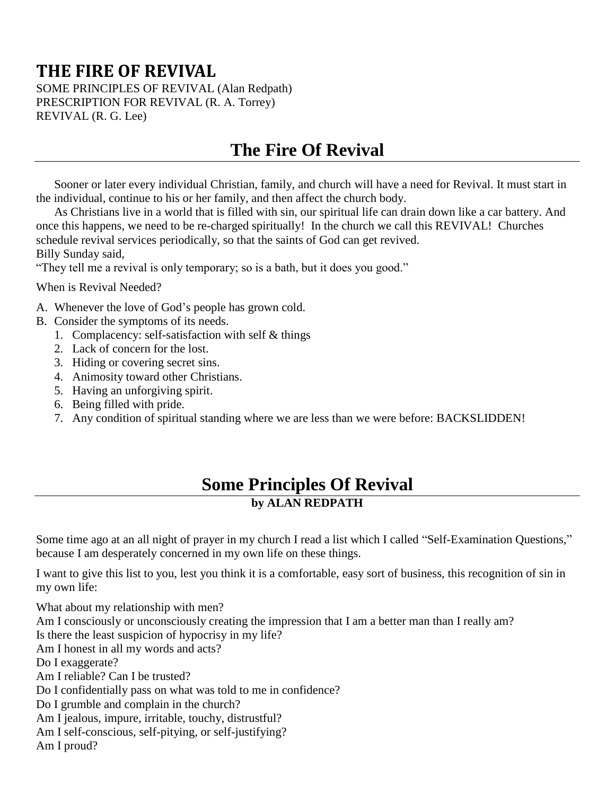# **THE FIRE OF REVIVAL**

SOME PRINCIPLES OF REVIVAL (Alan Redpath) PRESCRIPTION FOR REVIVAL (R. A. Torrey) REVIVAL (R. G. Lee)

# **The Fire Of Revival**

Sooner or later every individual Christian, family, and church will have a need for Revival. It must start in the individual, continue to his or her family, and then affect the church body.

As Christians live in a world that is filled with sin, our spiritual life can drain down like a car battery. And once this happens, we need to be re-charged spiritually! In the church we call this REVIVAL! Churches schedule revival services periodically, so that the saints of God can get revived. Billy Sunday said,

"They tell me a revival is only temporary; so is a bath, but it does you good."

When is Revival Needed?

- A. Whenever the love of God's people has grown cold.
- B. Consider the symptoms of its needs.
	- 1. Complacency: self-satisfaction with self & things
	- 2. Lack of concern for the lost.
	- 3. Hiding or covering secret sins.
	- 4. Animosity toward other Christians.
	- 5. Having an unforgiving spirit.
	- 6. Being filled with pride.
	- 7. Any condition of spiritual standing where we are less than we were before: BACKSLIDDEN!

### **Some Principles Of Revival by ALAN REDPATH**

Some time ago at an all night of prayer in my church I read a list which I called "Self-Examination Questions," because I am desperately concerned in my own life on these things.

I want to give this list to you, lest you think it is a comfortable, easy sort of business, this recognition of sin in my own life:

What about my relationship with men? Am I consciously or unconsciously creating the impression that I am a better man than I really am? Is there the least suspicion of hypocrisy in my life? Am I honest in all my words and acts? Do I exaggerate? Am I reliable? Can I be trusted? Do I confidentially pass on what was told to me in confidence? Do I grumble and complain in the church? Am I jealous, impure, irritable, touchy, distrustful? Am I self-conscious, self-pitying, or self-justifying? Am I proud?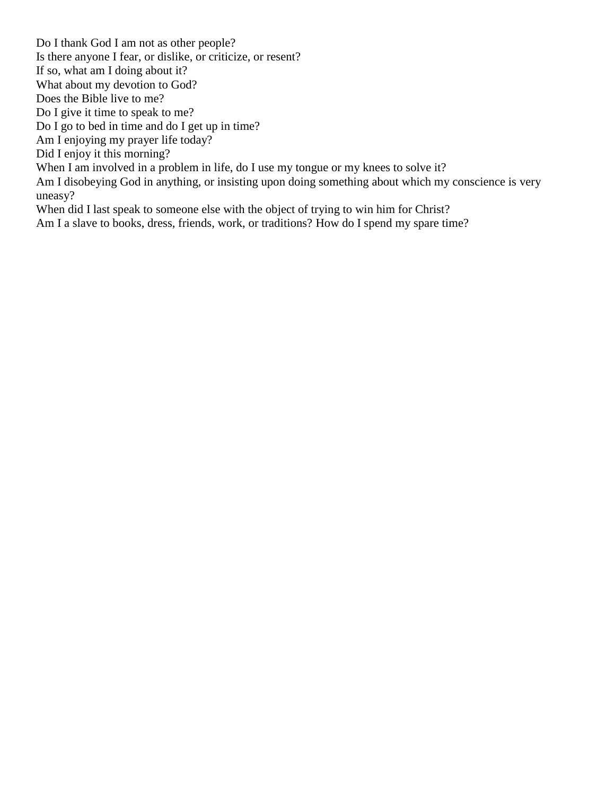Do I thank God I am not as other people? Is there anyone I fear, or dislike, or criticize, or resent? If so, what am I doing about it? What about my devotion to God? Does the Bible live to me? Do I give it time to speak to me? Do I go to bed in time and do I get up in time? Am I enjoying my prayer life today? Did I enjoy it this morning? When I am involved in a problem in life, do I use my tongue or my knees to solve it? Am I disobeying God in anything, or insisting upon doing something about which my conscience is very uneasy? When did I last speak to someone else with the object of trying to win him for Christ? Am I a slave to books, dress, friends, work, or traditions? How do I spend my spare time?